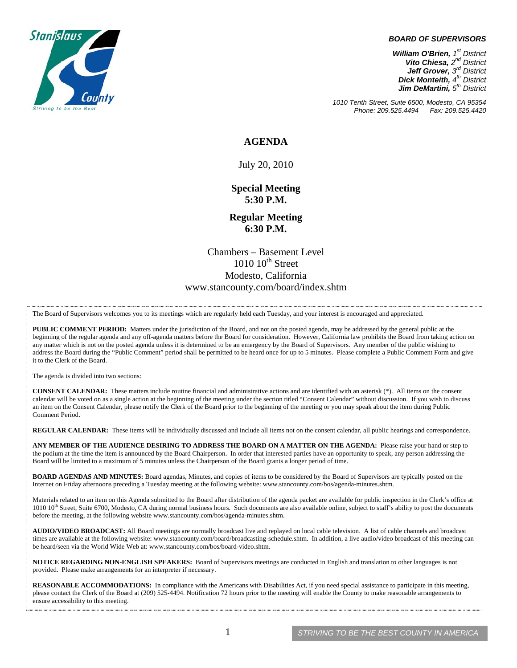

#### *BOARD OF SUPERVISORS*

*William O'Brien, 1st District Vito Chiesa, 2nd District Jeff Grover, 3rd District Dick Monteith, 4th District Jim DeMartini, 5th District*

*1010 Tenth Street, Suite 6500, Modesto, CA 95354 Phone: 209.525.4494* 

#### **AGENDA**

July 20, 2010

**Special Meeting 5:30 P.M.** 

**Regular Meeting 6:30 P.M.** 

Chambers – Basement Level  $1010 \cdot 10^{th}$  Street Modesto, California www.stancounty.com/board/index.shtm

The Board of Supervisors welcomes you to its meetings which are regularly held each Tuesday, and your interest is encouraged and appreciated.

**PUBLIC COMMENT PERIOD:** Matters under the jurisdiction of the Board, and not on the posted agenda, may be addressed by the general public at the beginning of the regular agenda and any off-agenda matters before the Board for consideration. However, California law prohibits the Board from taking action on any matter which is not on the posted agenda unless it is determined to be an emergency by the Board of Supervisors. Any member of the public wishing to address the Board during the "Public Comment" period shall be permitted to be heard once for up to 5 minutes. Please complete a Public Comment Form and give it to the Clerk of the Board.

The agenda is divided into two sections:

**CONSENT CALENDAR:** These matters include routine financial and administrative actions and are identified with an asterisk (\*). All items on the consent calendar will be voted on as a single action at the beginning of the meeting under the section titled "Consent Calendar" without discussion. If you wish to discuss an item on the Consent Calendar, please notify the Clerk of the Board prior to the beginning of the meeting or you may speak about the item during Public Comment Period.

**REGULAR CALENDAR:** These items will be individually discussed and include all items not on the consent calendar, all public hearings and correspondence.

**ANY MEMBER OF THE AUDIENCE DESIRING TO ADDRESS THE BOARD ON A MATTER ON THE AGENDA:** Please raise your hand or step to the podium at the time the item is announced by the Board Chairperson. In order that interested parties have an opportunity to speak, any person addressing the Board will be limited to a maximum of 5 minutes unless the Chairperson of the Board grants a longer period of time.

**BOARD AGENDAS AND MINUTES:** Board agendas, Minutes, and copies of items to be considered by the Board of Supervisors are typically posted on the Internet on Friday afternoons preceding a Tuesday meeting at the following website: www.stancounty.com/bos/agenda-minutes.shtm.

Materials related to an item on this Agenda submitted to the Board after distribution of the agenda packet are available for public inspection in the Clerk's office at  $1010$   $10$ <sup>th</sup> Street, Suite 6700, Modesto, CA during normal business hours. Such documents are also available online, subject to staff's ability to post the documents before the meeting, at the following website www.stancounty.com/bos/agenda-minutes.shtm.

**AUDIO/VIDEO BROADCAST:** All Board meetings are normally broadcast live and replayed on local cable television. A list of cable channels and broadcast times are available at the following website: www.stancounty.com/board/broadcasting-schedule.shtm. In addition, a live audio/video broadcast of this meeting can be heard/seen via the World Wide Web at: www.stancounty.com/bos/board-video.shtm.

**NOTICE REGARDING NON-ENGLISH SPEAKERS:** Board of Supervisors meetings are conducted in English and translation to other languages is not provided. Please make arrangements for an interpreter if necessary.

REASONABLE ACCOMMODATIONS: In compliance with the Americans with Disabilities Act, if you need special assistance to participate in this meeting, please contact the Clerk of the Board at (209) 525-4494. Notification 72 hours prior to the meeting will enable the County to make reasonable arrangements to ensure accessibility to this meeting.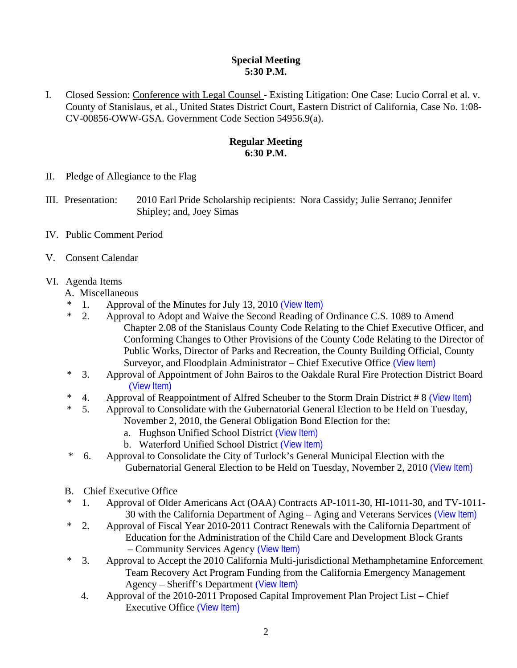## **Special Meeting 5:30 P.M.**

I. Closed Session: Conference with Legal Counsel - Existing Litigation: One Case: Lucio Corral et al. v. County of Stanislaus, et al., United States District Court, Eastern District of California, Case No. 1:08- CV-00856-OWW-GSA. Government Code Section 54956.9(a).

# **Regular Meeting 6:30 P.M.**

- II. Pledge of Allegiance to the Flag
- III. Presentation: 2010 Earl Pride Scholarship recipients: Nora Cassidy; Julie Serrano; Jennifer Shipley; and, Joey Simas
- IV. Public Comment Period
- V. Consent Calendar
- VI. Agenda Items
	- A. Miscellaneous
	- \* 1. Approval of the Minutes for July 13, 2010 ([View Item\)](http://www.stancounty.com/bos/minutes/2010/min07-13-10.pdf)
	- \* 2. Approval to Adopt and Waive the Second Reading of Ordinance C.S. 1089 to Amend Chapter 2.08 of the Stanislaus County Code Relating to the Chief Executive Officer, and Conforming Changes to Other Provisions of the County Code Relating to the Director of Public Works, Director of Parks and Recreation, the County Building Official, County Surveyor, and Floodplain Administrator – Chief Executive Office ([View Item\)](http://www.stancounty.com/bos/agenda/2010/20100720/A02.pdf)
	- \* 3. Approval of Appointment of John Bairos to the Oakdale Rural Fire Protection District Board ([View Item\)](http://www.stancounty.com/bos/agenda/2010/20100720/A03.pdf)
	- <sup>\*</sup> 4. Approval of Reappointment of Alfred Scheuber to the Storm Drain District # 8 ([View Item\)](http://www.stancounty.com/bos/agenda/2010/20100720/A04.pdf)<br><sup>\*</sup> 5. Approval to Consolidate with the Gubernatorial General Election to be Held on Tuesday.
		- 5. Approval to Consolidate with the Gubernatorial General Election to be Held on Tuesday, November 2, 2010, the General Obligation Bond Election for the:
			- a. Hughson Unified School District ([View Item\)](http://www.stancounty.com/bos/agenda/2010/20100720/A05a.pdf)
			- b. Waterford Unified School District ([View Item\)](http://www.stancounty.com/bos/agenda/2010/20100720/A05b.pdf)
	- \* 6. Approval to Consolidate the City of Turlock's General Municipal Election with the Gubernatorial General Election to be Held on Tuesday, November 2, 2010 ([View Item\)](http://www.stancounty.com/bos/agenda/2010/20100720/A06.pdf)
	- B. Chief Executive Office
	- \* 1. Approval of Older Americans Act (OAA) Contracts AP-1011-30, HI-1011-30, and TV-1011- 30 with the California Department of Aging – Aging and Veterans Services ([View Item\)](http://www.stancounty.com/bos/agenda/2010/20100720/B01.pdf)
	- \* 2. Approval of Fiscal Year 2010-2011 Contract Renewals with the California Department of Education for the Administration of the Child Care and Development Block Grants – Community Services Agency ([View Item\)](http://www.stancounty.com/bos/agenda/2010/20100720/B02.pdf)
	- \* 3. Approval to Accept the 2010 California Multi-jurisdictional Methamphetamine Enforcement Team Recovery Act Program Funding from the California Emergency Management Agency – Sheriff's Department ([View Item\)](http://www.stancounty.com/bos/agenda/2010/20100720/B03.pdf)
		- 4. Approval of the 2010-2011 Proposed Capital Improvement Plan Project List Chief Executive Office ([View Item\)](http://www.stancounty.com/bos/agenda/2010/20100720/B04.pdf)